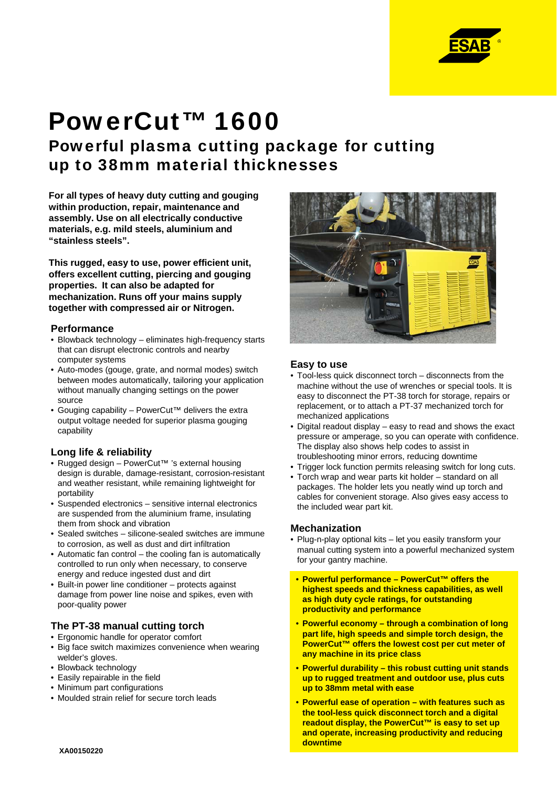

# PowerCut™ 1600

## Powerful plasma cutting package for cutting up to 38mm material thicknesses

**For all types of heavy duty cutting and gouging within production, repair, maintenance and assembly. Use on all electrically conductive materials, e.g. mild steels, aluminium and "stainless steels".** 

**This rugged easy to use power efficient unit This rugged, easy to use, power efficient unit, offers excellent cutting, piercing and gouging properties. It can also be adapted for mechanization. Runs off your mains supply together with compressed air or Nitrogen.**

#### **Performance**

- Blowback technology eliminates high-frequency starts that can disrupt electronic controls and nearby that can disrupt electronic controls and nearby computer systems
- Auto-modes (gouge, grate, and normal modes) switch between modes automatically, tailoring your application without manually changing settings on the power source
- Gouging capability PowerCut™ delivers the extra output voltage needed for superior plasma gouging capability

#### **Long life & reliability**

- Rugged design PowerCut™ 's external housing design is durable, damage-resistant, corrosion-resistant and weather resistant, while remaining lightweight for portability
- Suspended electronics sensitive internal electronics are suspended from the aluminium frame, insulating them from shock and vibration
- Sealed switches silicone-sealed switches are immune to corrosion, as well as dust and dirt infiltration
- Automatic fan control the cooling fan is automatically controlled to run only when necessary, to conserve energy and reduce ingested dust and dirt
- Built-in power line conditioner protects against damage from power line noise and spikes, even with poor-quality power

### **The PT-38 manual cutting torch**

- Ergonomic handle for operator comfort
- Big face switch maximizes convenience when wearing welder's gloves.
- Blowback technology
- Easily repairable in the field
- Minimum part configurations
- Moulded strain relief for secure torch leads



#### **Easy to use**

- Tool-less quick disconnect torch disconnects from the machine without the use of wrenches or special tools. It is easy to disconnect the PT-38 torch for storage, repairs or replacement, or to attach a PT-37 mechanized torch for mechanized applications
- Digital readout display easy to read and shows the exact pressure or amperage, so you can operate with confidence. The display also shows help codes to assist in troubleshooting minor errors, reducing downtime
- Trigger lock function permits releasing switch for long cuts.
- Torch wrap and wear parts kit holder standard on all packages. The holder lets you neatly wind up torch and cables for convenient storage. Also gives easy access to the included wear part kit.

#### **Mechanization**

- Plug-n-play optional kits let you easily transform your manual cutting system into a powerful mechanized system for your gantry machine.
- **Powerful performance PowerCut™ offers the highest speeds and thickness capabilities, as well as high duty cycle ratings, for outstanding productivity and performance**
- **Powerful economy through a combination of long part life, high speeds and simple torch design, the PowerCut™ offers the lowest cost per cut meter of any machine in its price class**
- **Powerful durability this robust cutting unit stands up to rugged treatment and outdoor use, plus cuts up to 38mm metal with ease**
- **Powerful ease of operation with features such as <br>
<b>• Powerful ease of operation with features such as the tool-less quick disconnect torch and a digital readout display, the PowerCut™ is easy to set up and operate, increasing productivity and reducing downtime**